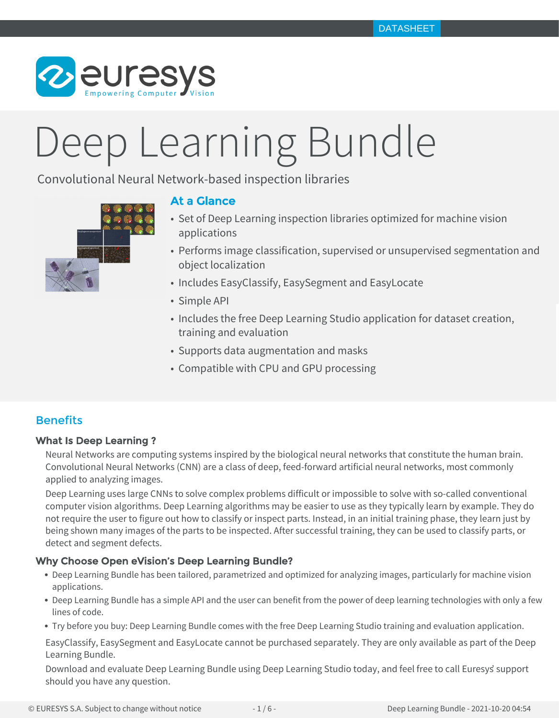

# Deep Learning Bundle

Convolutional Neural Network-based inspection libraries



# At a Glance

- Set of Deep Learning inspection libraries optimized for machine vision applications
- Performs image classification, supervised or unsupervised segmentation and object localization
- Includes EasyClassify, EasySegment and EasyLocate
- Simple API
- Includes the free Deep Learning Studio application for dataset creation, training and evaluation
- Supports data augmentation and masks
- Compatible with CPU and GPU processing

# **Benefits**

# What Is Deep Learning ?

Neural Networks are computing systems inspired by the biological neural networks that constitute the human brain. Convolutional Neural Networks (CNN) are a class of deep, feed-forward artificial neural networks, most commonly applied to analyzing images.

Deep Learning uses large CNNs to solve complex problems difficult or impossible to solve with so-called conventional computer vision algorithms. Deep Learning algorithms may be easier to use as they typically learn by example. They do not require the user to figure out how to classify or inspect parts. Instead, in an initial training phase, they learn just by being shown many images of the parts to be inspected. After successful training, they can be used to classify parts, or detect and segment defects.

# Why Choose Open eVision's Deep Learning Bundle?

- Deep Learning Bundle has been tailored, parametrized and optimized for analyzing images, particularly for machine vision applications.
- Deep Learning Bundle has a simple API and the user can benefit from the power of deep learning technologies with only a few lines of code.
- Try before you buy: Deep Learning Bundle comes with the free Deep Learning Studio training and evaluation application.

EasyClassify, EasySegment and EasyLocate cannot be purchased separately. They are only available as part of the Deep Learning Bundle.

Download and evaluate Deep Learning Bundle using Deep Learning Studio today, and feel free to call Euresys' support should you have any question.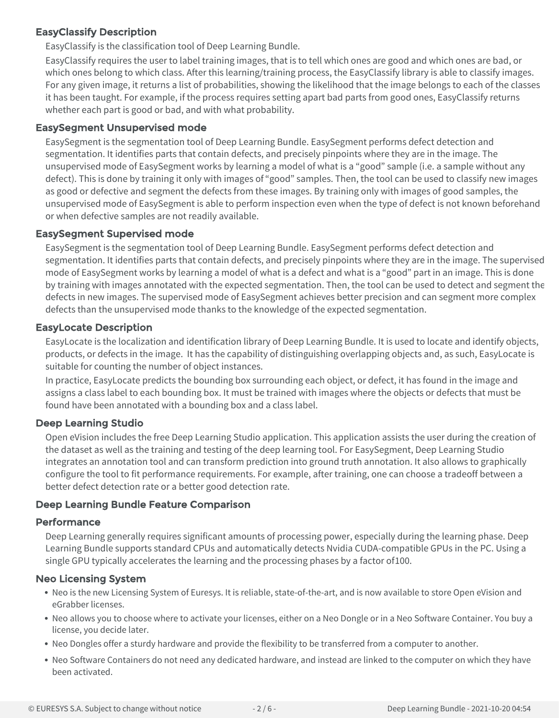# EasyClassify Description

EasyClassify is the classification tool of Deep Learning Bundle.

EasyClassify requires the user to label training images, that is to tell which ones are good and which ones are bad, or which ones belong to which class. After this learning/training process, the EasyClassify library is able to classify images. For any given image, it returns a list of probabilities, showing the likelihood that the image belongs to each of the classes it has been taught. For example, if the process requires setting apart bad parts from good ones, EasyClassify returns whether each part is good or bad, and with what probability.

# EasySegment Unsupervised mode

EasySegment is the segmentation tool of Deep Learning Bundle. EasySegment performs defect detection and segmentation. It identifies parts that contain defects, and precisely pinpoints where they are in the image. The unsupervised mode of EasySegment works by learning a model of what is a "good" sample (i.e. a sample without any defect). This is done by training it only with images of "good" samples. Then, the tool can be used to classify new images as good or defective and segment the defects from these images. By training only with images of good samples, the unsupervised mode of EasySegment is able to perform inspection even when the type of defect is not known beforehand or when defective samples are not readily available.

# EasySegment Supervised mode

EasySegment is the segmentation tool of Deep Learning Bundle. EasySegment performs defect detection and segmentation. It identifies parts that contain defects, and precisely pinpoints where they are in the image. The supervised mode of EasySegment works by learning a model of what is a defect and what is a "good" part in an image. This is done by training with images annotated with the expected segmentation. Then, the tool can be used to detect and segment the defects in new images. The supervised mode of EasySegment achieves better precision and can segment more complex defects than the unsupervised mode thanks to the knowledge of the expected segmentation.

# EasyLocate Description

EasyLocate is the localization and identification library of Deep Learning Bundle. It is used to locate and identify objects, products, or defects in the image. It has the capability of distinguishing overlapping objects and, as such, EasyLocate is suitable for counting the number of object instances.

In practice, EasyLocate predicts the bounding box surrounding each object, or defect, it has found in the image and assigns a class label to each bounding box. It must be trained with images where the objects or defects that must be found have been annotated with a bounding box and a class label.

# Deep Learning Studio

Open eVision includes the free Deep Learning Studio application. This application assists the user during the creation of the dataset as well as the training and testing of the deep learning tool. For EasySegment, Deep Learning Studio integrates an annotation tool and can transform prediction into ground truth annotation. It also allows to graphically configure the tool to fit performance requirements. For example, after training, one can choose a tradeoff between a better defect detection rate or a better good detection rate.

# Deep Learning Bundle Feature Comparison

## Performance

Deep Learning generally requires significant amounts of processing power, especially during the learning phase. Deep Learning Bundle supports standard CPUs and automatically detects Nvidia CUDA-compatible GPUs in the PC. Using a single GPU typically accelerates the learning and the processing phases by a factor of 100.

# Neo Licensing System

- Neo is the new Licensing System of Euresys. It is reliable, state-of-the-art, and is now available to store Open eVision and eGrabber licenses.
- Neo allows you to choose where to activate your licenses, either on a Neo Dongle or in a Neo Software Container. You buy a license, you decide later.
- Neo Dongles offer a sturdy hardware and provide the flexibility to be transferred from a computer to another.
- Neo Software Containers do not need any dedicated hardware, and instead are linked to the computer on which they have been activated.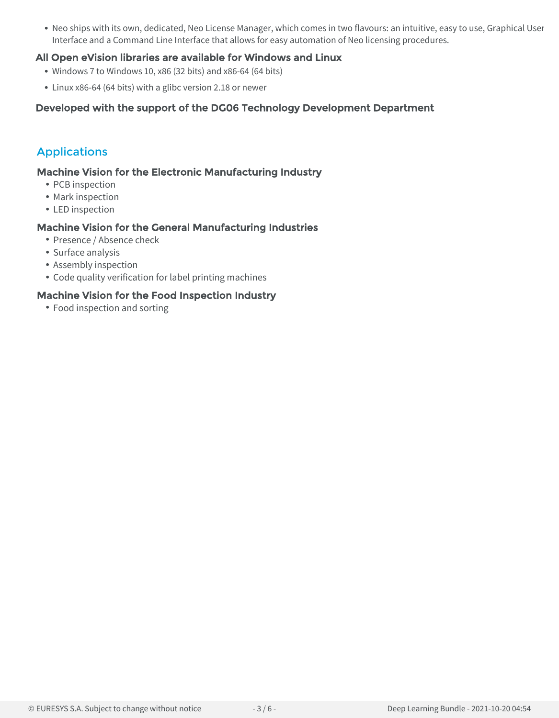• Neo ships with its own, dedicated, Neo License Manager, which comes in two flavours: an intuitive, easy to use, Graphical User Interface and a Command Line Interface that allows for easy automation of Neo licensing procedures.

# All Open eVision libraries are available for Windows and Linux

- Windows 7 to Windows 10, x86 (32 bits) and x86-64 (64 bits)
- Linux x86-64 (64 bits) with a glibc version 2.18 or newer

# Developed with the support of the DG06 Technology Development Department

# Applications

# Machine Vision for the Electronic Manufacturing Industry

- PCB inspection
- Mark inspection
- LED inspection

# Machine Vision for the General Manufacturing Industries

- Presence / Absence check
- Surface analysis
- Assembly inspection
- Code quality verification for label printing machines

## Machine Vision for the Food Inspection Industry

• Food inspection and sorting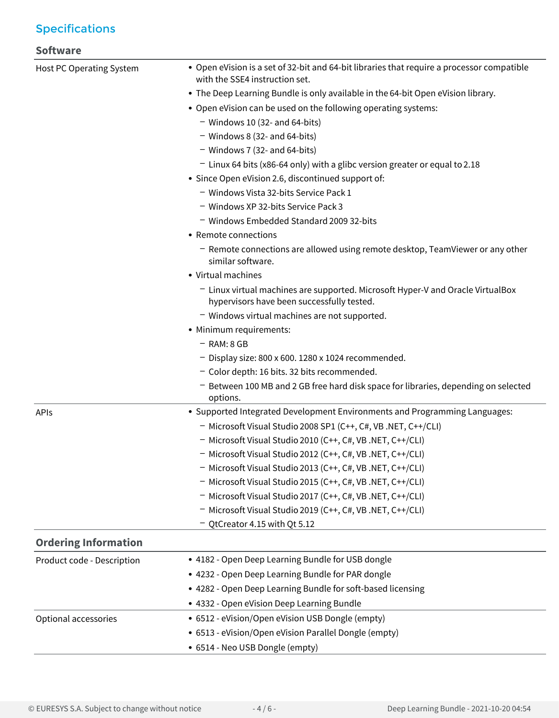# Specifications

# **Software**

| Host PC Operating System    | • Open eVision is a set of 32-bit and 64-bit libraries that require a processor compatible<br>with the SSE4 instruction set. |
|-----------------------------|------------------------------------------------------------------------------------------------------------------------------|
|                             | • The Deep Learning Bundle is only available in the 64-bit Open eVision library.                                             |
|                             | • Open eVision can be used on the following operating systems:                                                               |
|                             | $-$ Windows 10 (32- and 64-bits)                                                                                             |
|                             | $-$ Windows 8 (32- and 64-bits)                                                                                              |
|                             | $-$ Windows 7 (32- and 64-bits)                                                                                              |
|                             | - Linux 64 bits (x86-64 only) with a glibc version greater or equal to 2.18                                                  |
|                             | • Since Open eVision 2.6, discontinued support of:                                                                           |
|                             | - Windows Vista 32-bits Service Pack 1                                                                                       |
|                             | - Windows XP 32-bits Service Pack 3                                                                                          |
|                             | - Windows Embedded Standard 2009 32-bits                                                                                     |
|                             | • Remote connections                                                                                                         |
|                             | - Remote connections are allowed using remote desktop, TeamViewer or any other<br>similar software.                          |
|                             | • Virtual machines                                                                                                           |
|                             | - Linux virtual machines are supported. Microsoft Hyper-V and Oracle VirtualBox                                              |
|                             | hypervisors have been successfully tested.                                                                                   |
|                             | - Windows virtual machines are not supported.                                                                                |
|                             | • Minimum requirements:                                                                                                      |
|                             | $-$ RAM: 8 GB                                                                                                                |
|                             | $-$ Display size: 800 x 600. 1280 x 1024 recommended.                                                                        |
|                             | - Color depth: 16 bits. 32 bits recommended.                                                                                 |
|                             | - Between 100 MB and 2 GB free hard disk space for libraries, depending on selected<br>options.                              |
| APIs                        | • Supported Integrated Development Environments and Programming Languages:                                                   |
|                             | - Microsoft Visual Studio 2008 SP1 (C++, C#, VB .NET, C++/CLI)                                                               |
|                             | - Microsoft Visual Studio 2010 (C++, C#, VB .NET, C++/CLI)                                                                   |
|                             | - Microsoft Visual Studio 2012 (C++, C#, VB .NET, C++/CLI)                                                                   |
|                             | - Microsoft Visual Studio 2013 (C++, C#, VB .NET, C++/CLI)                                                                   |
|                             | - Microsoft Visual Studio 2015 (C++, C#, VB .NET, C++/CLI)                                                                   |
|                             | - Microsoft Visual Studio 2017 (C++, C#, VB .NET, C++/CLI)                                                                   |
|                             | - Microsoft Visual Studio 2019 (C++, C#, VB .NET, C++/CLI)                                                                   |
|                             | - QtCreator 4.15 with Qt 5.12                                                                                                |
| <b>Ordering Information</b> |                                                                                                                              |
| Product code - Description  | • 4182 - Open Deep Learning Bundle for USB dongle                                                                            |
|                             | • 4232 - Open Deep Learning Bundle for PAR dongle                                                                            |
|                             | • 4282 - Open Deep Learning Bundle for soft-based licensing                                                                  |
|                             | • 4332 - Open eVision Deep Learning Bundle                                                                                   |
| Optional accessories        | • 6512 - eVision/Open eVision USB Dongle (empty)                                                                             |
|                             | • 6513 - eVision/Open eVision Parallel Dongle (empty)                                                                        |
|                             | • 6514 - Neo USB Dongle (empty)                                                                                              |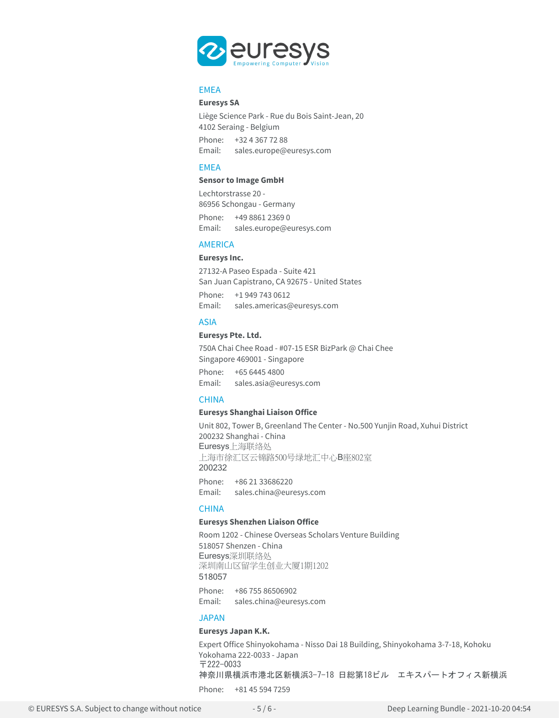

## **FMFA**

### **Euresys SA**

Liège Science Park - Rue du Bois Saint-Jean, 20 4102 Seraing - Belgium

Phone: +32 4 367 72 88 Email: sales.europe@euresys.com

## **FMFA**

### **Sensor to Image GmbH**

Lechtorstrasse 20 - 86956 Schongau - Germany Phone: +49 8861 2369 0 Email: sales.europe@euresys.com

## AMERICA

#### **Euresys Inc.**

27132-A Paseo Espada - Suite 421 San Juan Capistrano, CA 92675 - United States Phone: +1 949 743 0612 Email: sales.americas@euresys.com

#### ASIA

## **Euresys Pte. Ltd.**

750A Chai Chee Road - #07-15 ESR BizPark @ Chai Chee Singapore 469001 - Singapore

Phone: +65 6445 4800 Email: sales.asia@euresys.com

#### **CHINA**

## **Euresys Shanghai Liaison Office**

Unit 802, Tower B, Greenland The Center - No.500 Yunjin Road, Xuhui District 200232 Shanghai - China Euresys上海联络处 上海市徐汇区云锦路500号绿地汇中心B座802室 200232

Phone: +86 21 33686220 Email: sales.china@euresys.com

## **CHINA**

## **Euresys Shenzhen Liaison Office**

Room 1202 - Chinese Overseas Scholars Venture Building 518057 Shenzen - China Euresys深圳联络处 深圳南山区留学生创业大厦1期1202 518057 Phone: +86 755 86506902 Email: sales.china@euresys.com

## JAPAN

## **Euresys Japan K.K.**

Expert Office Shinyokohama - Nisso Dai 18 Building, Shinyokohama 3-7-18, Kohoku Yokohama 222-0033 - Japan 〒222-0033 神奈川県横浜市港北区新横浜3-7-18 日総第18ビル エキスパートオフィス新横浜

Phone: +81 45 594 7259